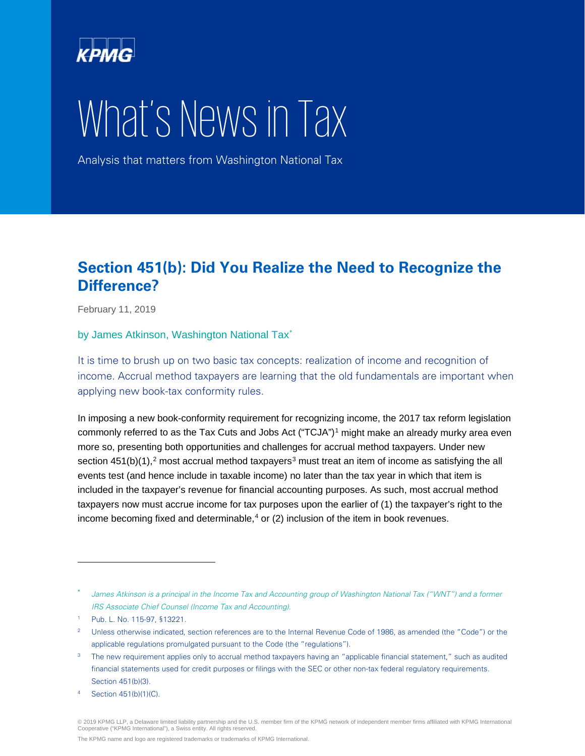

## What's News in Tax

Analysis that matters from Washington National Tax

## **Section 451(b): Did You Realize the Need to Recognize the Difference?**

February 11, 2019

by James Atkinson, Washington National Tax<sup>[\\*](#page-0-0)</sup>

It is time to brush up on two basic tax concepts: realization of income and recognition of income. Accrual method taxpayers are learning that the old fundamentals are important when applying new book-tax conformity rules.

In imposing a new book-conformity requirement for recognizing income, the 2017 tax reform legislation commonly referred to as the Tax Cuts and Jobs Act ("TCJA")<sup>[1](#page-0-1)</sup> might make an already murky area even more so, presenting both opportunities and challenges for accrual method taxpayers. Under new section  $451(b)(1)$ ,<sup>[2](#page-0-2)</sup> most accrual method taxpayers<sup>[3](#page-0-3)</sup> must treat an item of income as satisfying the all events test (and hence include in taxable income) no later than the tax year in which that item is included in the taxpayer's revenue for financial accounting purposes. As such, most accrual method taxpayers now must accrue income for tax purposes upon the earlier of (1) the taxpayer's right to the income becoming fixed and determinable, $4$  or (2) inclusion of the item in book revenues.

<span id="page-0-0"></span>James Atkinson is a principal in the Income Tax and Accounting group of Washington National Tax ("WNT") and a former IRS Associate Chief Counsel (Income Tax and Accounting).

<span id="page-0-1"></span><sup>1</sup> Pub. L. No. 115-97, §13221.

<span id="page-0-2"></span><sup>&</sup>lt;sup>2</sup> Unless otherwise indicated, section references are to the Internal Revenue Code of 1986, as amended (the "Code") or the applicable regulations promulgated pursuant to the Code (the "regulations").

<span id="page-0-3"></span><sup>&</sup>lt;sup>3</sup> The new requirement applies only to accrual method taxpayers having an "applicable financial statement," such as audited financial statements used for credit purposes or filings with the SEC or other non-tax federal regulatory requirements. Section 451(b)(3).

<span id="page-0-4"></span>Section 451(b)(1)(C).

<sup>© 2019</sup> KPMG LLP, a Delaware limited liability partnership and the U.S. member firm of the KPMG network of independent member firms affiliated with KPMG International<br>Cooperative ("KPMG International"), a Swiss entity. All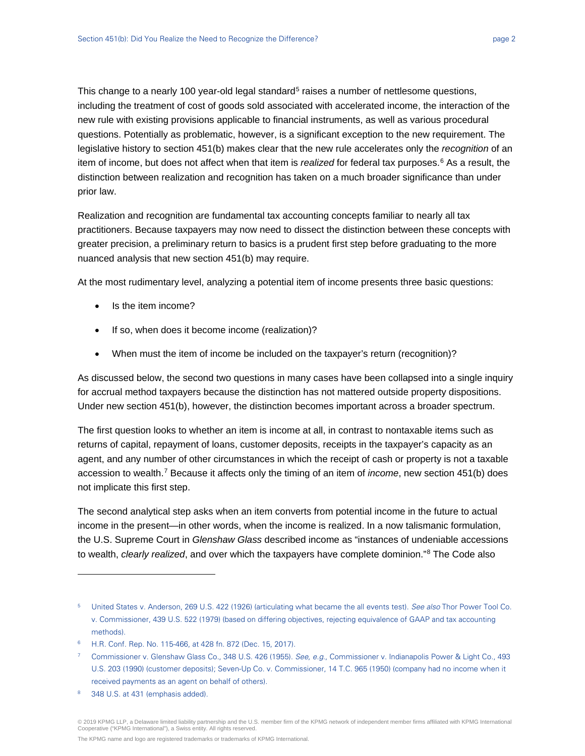This change to a nearly 100 year-old legal standard<sup>[5](#page-1-0)</sup> raises a number of nettlesome questions, including the treatment of cost of goods sold associated with accelerated income, the interaction of the new rule with existing provisions applicable to financial instruments, as well as various procedural questions. Potentially as problematic, however, is a significant exception to the new requirement. The legislative history to section 451(b) makes clear that the new rule accelerates only the *recognition* of an item of income, but does not affect when that item is *realized* for federal tax purposes.[6](#page-1-1) As a result, the distinction between realization and recognition has taken on a much broader significance than under prior law.

Realization and recognition are fundamental tax accounting concepts familiar to nearly all tax practitioners. Because taxpayers may now need to dissect the distinction between these concepts with greater precision, a preliminary return to basics is a prudent first step before graduating to the more nuanced analysis that new section 451(b) may require.

At the most rudimentary level, analyzing a potential item of income presents three basic questions:

- Is the item income?
- If so, when does it become income (realization)?
- When must the item of income be included on the taxpayer's return (recognition)?

As discussed below, the second two questions in many cases have been collapsed into a single inquiry for accrual method taxpayers because the distinction has not mattered outside property dispositions. Under new section 451(b), however, the distinction becomes important across a broader spectrum.

The first question looks to whether an item is income at all, in contrast to nontaxable items such as returns of capital, repayment of loans, customer deposits, receipts in the taxpayer's capacity as an agent, and any number of other circumstances in which the receipt of cash or property is not a taxable accession to wealth.[7](#page-1-2) Because it affects only the timing of an item of *income*, new section 451(b) does not implicate this first step.

The second analytical step asks when an item converts from potential income in the future to actual income in the present—in other words, when the income is realized. In a now talismanic formulation, the U.S. Supreme Court in *Glenshaw Glass* described income as "instances of undeniable accessions to wealth, *clearly realized*, and over which the taxpayers have complete dominion."[8](#page-1-3) The Code also

-

The KPMG name and logo are registered trademarks or trademarks of KPMG International.

<span id="page-1-0"></span><sup>&</sup>lt;sup>5</sup> United States v. Anderson, 269 U.S. 422 (1926) (articulating what became the all events test). See also Thor Power Tool Co. v. Commissioner, 439 U.S. 522 (1979) (based on differing objectives, rejecting equivalence of GAAP and tax accounting methods).

<span id="page-1-1"></span><sup>6</sup> H.R. Conf. Rep. No. 115-466, at 428 fn. 872 (Dec. 15, 2017).

<span id="page-1-2"></span><sup>7</sup> Commissioner v. Glenshaw Glass Co., 348 U.S. 426 (1955). See, e.g., Commissioner v. Indianapolis Power & Light Co., 493 U.S. 203 (1990) (customer deposits); Seven-Up Co. v. Commissioner, 14 T.C. 965 (1950) (company had no income when it received payments as an agent on behalf of others).

<span id="page-1-3"></span><sup>8 348</sup> U.S. at 431 (emphasis added).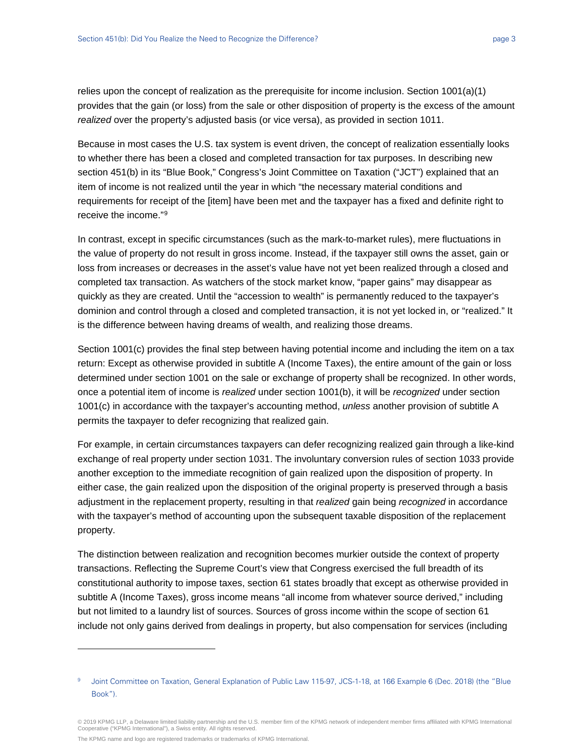relies upon the concept of realization as the prerequisite for income inclusion. Section 1001(a)(1) provides that the gain (or loss) from the sale or other disposition of property is the excess of the amount *realized* over the property's adjusted basis (or vice versa), as provided in section 1011.

Because in most cases the U.S. tax system is event driven, the concept of realization essentially looks to whether there has been a closed and completed transaction for tax purposes. In describing new section 451(b) in its "Blue Book," Congress's Joint Committee on Taxation ("JCT") explained that an item of income is not realized until the year in which "the necessary material conditions and requirements for receipt of the [item] have been met and the taxpayer has a fixed and definite right to receive the income."[9](#page-2-0)

In contrast, except in specific circumstances (such as the mark-to-market rules), mere fluctuations in the value of property do not result in gross income. Instead, if the taxpayer still owns the asset, gain or loss from increases or decreases in the asset's value have not yet been realized through a closed and completed tax transaction. As watchers of the stock market know, "paper gains" may disappear as quickly as they are created. Until the "accession to wealth" is permanently reduced to the taxpayer's dominion and control through a closed and completed transaction, it is not yet locked in, or "realized." It is the difference between having dreams of wealth, and realizing those dreams.

Section 1001(c) provides the final step between having potential income and including the item on a tax return: Except as otherwise provided in subtitle A (Income Taxes), the entire amount of the gain or loss determined under section 1001 on the sale or exchange of property shall be recognized. In other words, once a potential item of income is *realized* under section 1001(b), it will be *recognized* under section 1001(c) in accordance with the taxpayer's accounting method, *unless* another provision of subtitle A permits the taxpayer to defer recognizing that realized gain.

For example, in certain circumstances taxpayers can defer recognizing realized gain through a like-kind exchange of real property under section 1031. The involuntary conversion rules of section 1033 provide another exception to the immediate recognition of gain realized upon the disposition of property. In either case, the gain realized upon the disposition of the original property is preserved through a basis adjustment in the replacement property, resulting in that *realized* gain being *recognized* in accordance with the taxpayer's method of accounting upon the subsequent taxable disposition of the replacement property.

The distinction between realization and recognition becomes murkier outside the context of property transactions. Reflecting the Supreme Court's view that Congress exercised the full breadth of its constitutional authority to impose taxes, section 61 states broadly that except as otherwise provided in subtitle A (Income Taxes), gross income means "all income from whatever source derived," including but not limited to a laundry list of sources. Sources of gross income within the scope of section 61 include not only gains derived from dealings in property, but also compensation for services (including

The KPMG name and logo are registered trademarks or trademarks of KPMG International.

<span id="page-2-0"></span><sup>9</sup> Joint Committee on Taxation, General Explanation of Public Law 115-97, JCS-1-18, at 166 Example 6 (Dec. 2018) (the "Blue Book").

<sup>© 2019</sup> KPMG LLP, a Delaware limited liability partnership and the U.S. member firm of the KPMG network of independent member firms affiliated with KPMG International Cooperative ("KPMG International"), a Swiss entity. All rights reserved.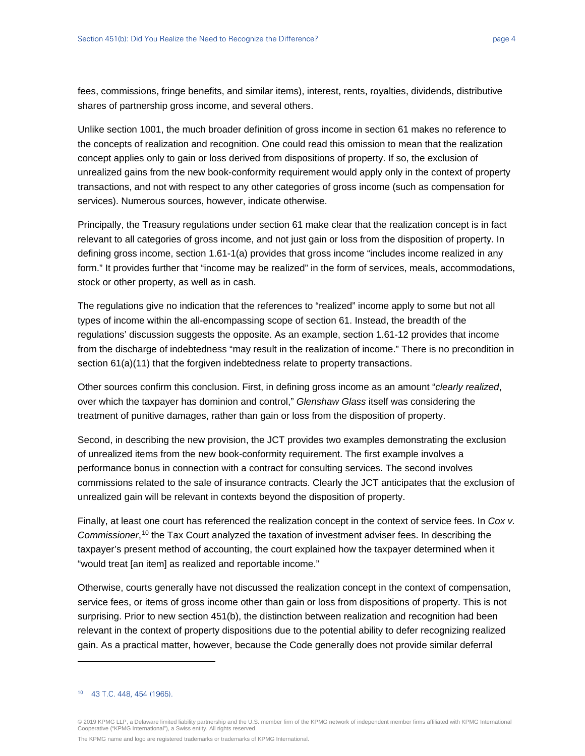fees, commissions, fringe benefits, and similar items), interest, rents, royalties, dividends, distributive shares of partnership gross income, and several others.

Unlike section 1001, the much broader definition of gross income in section 61 makes no reference to the concepts of realization and recognition. One could read this omission to mean that the realization concept applies only to gain or loss derived from dispositions of property. If so, the exclusion of unrealized gains from the new book-conformity requirement would apply only in the context of property transactions, and not with respect to any other categories of gross income (such as compensation for services). Numerous sources, however, indicate otherwise.

Principally, the Treasury regulations under section 61 make clear that the realization concept is in fact relevant to all categories of gross income, and not just gain or loss from the disposition of property. In defining gross income, section 1.61-1(a) provides that gross income "includes income realized in any form." It provides further that "income may be realized" in the form of services, meals, accommodations, stock or other property, as well as in cash.

The regulations give no indication that the references to "realized" income apply to some but not all types of income within the all-encompassing scope of section 61. Instead, the breadth of the regulations' discussion suggests the opposite. As an example, section 1.61-12 provides that income from the discharge of indebtedness "may result in the realization of income." There is no precondition in section 61(a)(11) that the forgiven indebtedness relate to property transactions.

Other sources confirm this conclusion. First, in defining gross income as an amount "*clearly realized*, over which the taxpayer has dominion and control," *Glenshaw Glass* itself was considering the treatment of punitive damages, rather than gain or loss from the disposition of property.

Second, in describing the new provision, the JCT provides two examples demonstrating the exclusion of unrealized items from the new book-conformity requirement. The first example involves a performance bonus in connection with a contract for consulting services. The second involves commissions related to the sale of insurance contracts. Clearly the JCT anticipates that the exclusion of unrealized gain will be relevant in contexts beyond the disposition of property.

Finally, at least one court has referenced the realization concept in the context of service fees. In *Cox v. Commissioner*, [10](#page-3-0) the Tax Court analyzed the taxation of investment adviser fees. In describing the taxpayer's present method of accounting, the court explained how the taxpayer determined when it "would treat [an item] as realized and reportable income."

Otherwise, courts generally have not discussed the realization concept in the context of compensation, service fees, or items of gross income other than gain or loss from dispositions of property. This is not surprising. Prior to new section 451(b), the distinction between realization and recognition had been relevant in the context of property dispositions due to the potential ability to defer recognizing realized gain. As a practical matter, however, because the Code generally does not provide similar deferral

<span id="page-3-0"></span><sup>10</sup> 43 T.C. 448, 454 (1965).

<sup>© 2019</sup> KPMG LLP, a Delaware limited liability partnership and the U.S. member firm of the KPMG network of independent member firms affiliated with KPMG International<br>Cooperative ("KPMG International"), a Swiss entity. All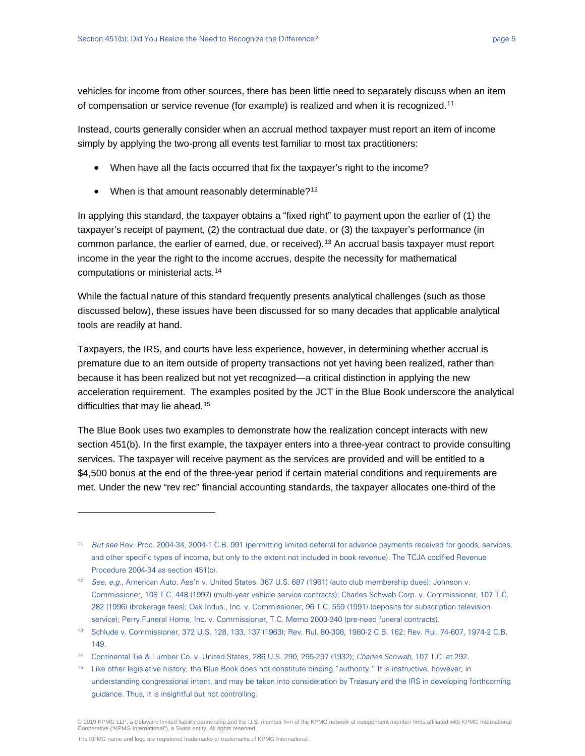vehicles for income from other sources, there has been little need to separately discuss when an item of compensation or service revenue (for example) is realized and when it is recognized.[11](#page-4-0)

Instead, courts generally consider when an accrual method taxpayer must report an item of income simply by applying the two-prong all events test familiar to most tax practitioners:

- When have all the facts occurred that fix the taxpayer's right to the income?
- When is that amount reasonably determinable?<sup>[12](#page-4-1)</sup>

In applying this standard, the taxpayer obtains a "fixed right" to payment upon the earlier of (1) the taxpayer's receipt of payment, (2) the contractual due date, or (3) the taxpayer's performance (in common parlance, the earlier of earned, due, or received).<sup>[13](#page-4-2)</sup> An accrual basis taxpayer must report income in the year the right to the income accrues, despite the necessity for mathematical computations or ministerial acts.[14](#page-4-3)

While the factual nature of this standard frequently presents analytical challenges (such as those discussed below), these issues have been discussed for so many decades that applicable analytical tools are readily at hand.

Taxpayers, the IRS, and courts have less experience, however, in determining whether accrual is premature due to an item outside of property transactions not yet having been realized, rather than because it has been realized but not yet recognized—a critical distinction in applying the new acceleration requirement. The examples posited by the JCT in the Blue Book underscore the analytical difficulties that may lie ahead.<sup>[15](#page-4-4)</sup>

The Blue Book uses two examples to demonstrate how the realization concept interacts with new section 451(b). In the first example, the taxpayer enters into a three-year contract to provide consulting services. The taxpayer will receive payment as the services are provided and will be entitled to a \$4,500 bonus at the end of the three-year period if certain material conditions and requirements are met. Under the new "rev rec" financial accounting standards, the taxpayer allocates one-third of the

<sup>15</sup> Like other legislative history, the Blue Book does not constitute binding "authority." It is instructive, however, in understanding congressional intent, and may be taken into consideration by Treasury and the IRS in developing forthcoming guidance. Thus, it is insightful but not controlling.

The KPMG name and logo are registered trademarks or trademarks of KPMG International.

<span id="page-4-0"></span><sup>11</sup> But see Rev. Proc. 2004-34, 2004-1 C.B. 991 (permitting limited deferral for advance payments received for goods, services, and other specific types of income, but only to the extent not included in book revenue). The TCJA codified Revenue Procedure 2004-34 as section 451(c).

<span id="page-4-1"></span><sup>&</sup>lt;sup>12</sup> See, e.g., American Auto. Ass'n v. United States, 367 U.S. 687 (1961) (auto club membership dues); Johnson v. Commissioner, 108 T.C. 448 (1997) (multi-year vehicle service contracts); Charles Schwab Corp. v. Commissioner, 107 T.C. 282 (1996) (brokerage fees); Oak Indus., Inc. v. Commissioner, 96 T.C. 559 (1991) (deposits for subscription television service); Perry Funeral Home, Inc. v. Commissioner, T.C. Memo 2003-340 (pre-need funeral contracts).

<span id="page-4-2"></span><sup>13</sup> Schlude v. Commissioner, 372 U.S. 128, 133, 137 (1963); Rev. Rul. 80-308, 1980-2 C.B. 162; Rev. Rul. 74-607, 1974-2 C.B. 149.

<span id="page-4-4"></span><span id="page-4-3"></span><sup>14</sup> Continental Tie & Lumber Co. v. United States, 286 U.S. 290, 295-297 (1932); Charles Schwab, 107 T.C. at 292.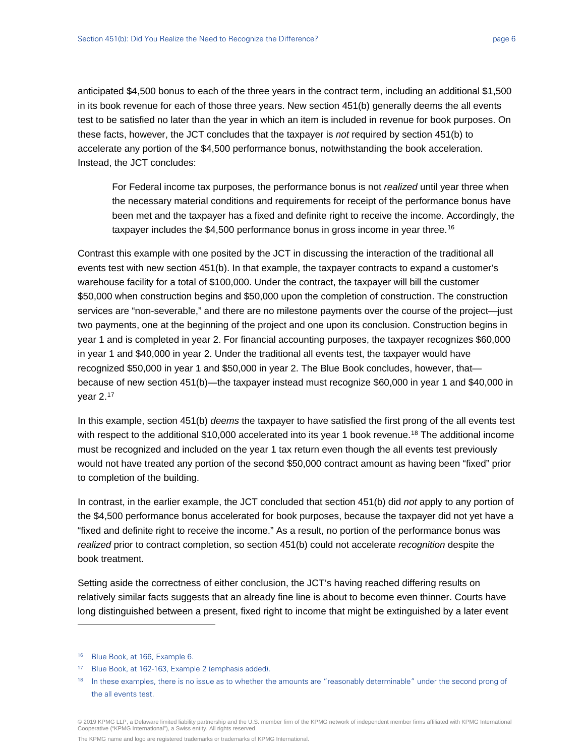anticipated \$4,500 bonus to each of the three years in the contract term, including an additional \$1,500 in its book revenue for each of those three years. New section 451(b) generally deems the all events test to be satisfied no later than the year in which an item is included in revenue for book purposes. On these facts, however, the JCT concludes that the taxpayer is *not* required by section 451(b) to accelerate any portion of the \$4,500 performance bonus, notwithstanding the book acceleration. Instead, the JCT concludes:

For Federal income tax purposes, the performance bonus is not *realized* until year three when the necessary material conditions and requirements for receipt of the performance bonus have been met and the taxpayer has a fixed and definite right to receive the income. Accordingly, the taxpayer includes the \$4,500 performance bonus in gross income in year three.<sup>[16](#page-5-0)</sup>

Contrast this example with one posited by the JCT in discussing the interaction of the traditional all events test with new section 451(b). In that example, the taxpayer contracts to expand a customer's warehouse facility for a total of \$100,000. Under the contract, the taxpayer will bill the customer \$50,000 when construction begins and \$50,000 upon the completion of construction. The construction services are "non-severable," and there are no milestone payments over the course of the project—just two payments, one at the beginning of the project and one upon its conclusion. Construction begins in year 1 and is completed in year 2. For financial accounting purposes, the taxpayer recognizes \$60,000 in year 1 and \$40,000 in year 2. Under the traditional all events test, the taxpayer would have recognized \$50,000 in year 1 and \$50,000 in year 2. The Blue Book concludes, however, that because of new section 451(b)—the taxpayer instead must recognize \$60,000 in year 1 and \$40,000 in year  $2.17$  $2.17$ 

In this example, section 451(b) *deems* the taxpayer to have satisfied the first prong of the all events test with respect to the additional \$10,000 accelerated into its year 1 book revenue.<sup>18</sup> The additional income must be recognized and included on the year 1 tax return even though the all events test previously would not have treated any portion of the second \$50,000 contract amount as having been "fixed" prior to completion of the building.

In contrast, in the earlier example, the JCT concluded that section 451(b) did *not* apply to any portion of the \$4,500 performance bonus accelerated for book purposes, because the taxpayer did not yet have a "fixed and definite right to receive the income." As a result, no portion of the performance bonus was *realized* prior to contract completion, so section 451(b) could not accelerate *recognition* despite the book treatment.

Setting aside the correctness of either conclusion, the JCT's having reached differing results on relatively similar facts suggests that an already fine line is about to become even thinner. Courts have long distinguished between a present, fixed right to income that might be extinguished by a later event

<span id="page-5-0"></span><sup>16</sup> Blue Book, at 166, Example 6.

<span id="page-5-1"></span><sup>17</sup> Blue Book, at 162-163, Example 2 (emphasis added).

<span id="page-5-2"></span><sup>&</sup>lt;sup>18</sup> In these examples, there is no issue as to whether the amounts are "reasonably determinable" under the second prong of the all events test.

<sup>© 2019</sup> KPMG LLP, a Delaware limited liability partnership and the U.S. member firm of the KPMG network of independent member firms affiliated with KPMG International Cooperative ("KPMG International"), a Swiss entity. All rights reserved.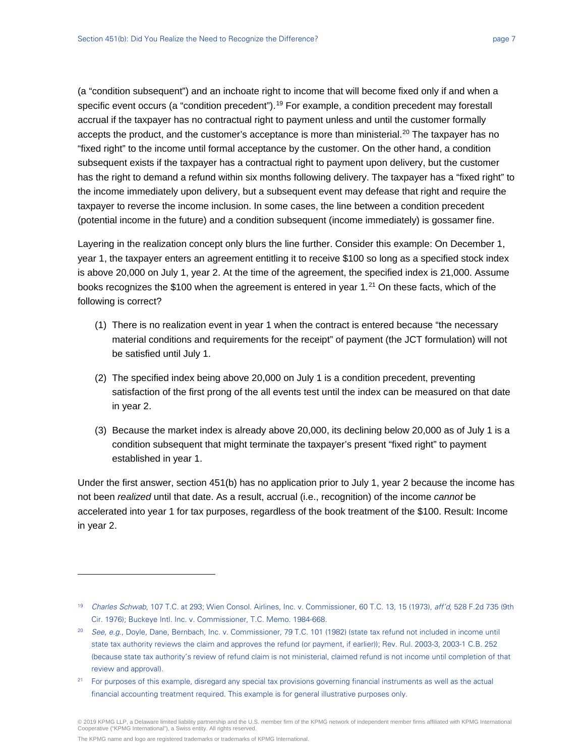(a "condition subsequent") and an inchoate right to income that will become fixed only if and when a specific event occurs (a "condition precedent").<sup>[19](#page-6-0)</sup> For example, a condition precedent may forestall accrual if the taxpayer has no contractual right to payment unless and until the customer formally accepts the product, and the customer's acceptance is more than ministerial.<sup>20</sup> The taxpayer has no "fixed right" to the income until formal acceptance by the customer. On the other hand, a condition subsequent exists if the taxpayer has a contractual right to payment upon delivery, but the customer has the right to demand a refund within six months following delivery. The taxpayer has a "fixed right" to the income immediately upon delivery, but a subsequent event may defease that right and require the taxpayer to reverse the income inclusion. In some cases, the line between a condition precedent (potential income in the future) and a condition subsequent (income immediately) is gossamer fine.

Layering in the realization concept only blurs the line further. Consider this example: On December 1, year 1, the taxpayer enters an agreement entitling it to receive \$100 so long as a specified stock index is above 20,000 on July 1, year 2. At the time of the agreement, the specified index is 21,000. Assume books recognizes the \$100 when the agreement is entered in year 1. $21$  On these facts, which of the following is correct?

- (1) There is no realization event in year 1 when the contract is entered because "the necessary material conditions and requirements for the receipt" of payment (the JCT formulation) will not be satisfied until July 1.
- (2) The specified index being above 20,000 on July 1 is a condition precedent, preventing satisfaction of the first prong of the all events test until the index can be measured on that date in year 2.
- (3) Because the market index is already above 20,000, its declining below 20,000 as of July 1 is a condition subsequent that might terminate the taxpayer's present "fixed right" to payment established in year 1.

Under the first answer, section 451(b) has no application prior to July 1, year 2 because the income has not been *realized* until that date. As a result, accrual (i.e., recognition) of the income *cannot* be accelerated into year 1 for tax purposes, regardless of the book treatment of the \$100. Result: Income in year 2.

The KPMG name and logo are registered trademarks or trademarks of KPMG International.

<span id="page-6-0"></span><sup>19</sup> Charles Schwab, 107 T.C. at 293; Wien Consol. Airlines, Inc. v. Commissioner, 60 T.C. 13, 15 (1973), aff'd, 528 F.2d 735 (9th Cir. 1976); Buckeye Intl. Inc. v. Commissioner, T.C. Memo. 1984-668.

<span id="page-6-1"></span><sup>&</sup>lt;sup>20</sup> See, e.g., Doyle, Dane, Bernbach, Inc. v. Commissioner, 79 T.C. 101 (1982) (state tax refund not included in income until state tax authority reviews the claim and approves the refund (or payment, if earlier)); Rev. Rul. 2003-3, 2003-1 C.B. 252 (because state tax authority's review of refund claim is not ministerial, claimed refund is not income until completion of that review and approval).

<span id="page-6-2"></span><sup>&</sup>lt;sup>21</sup> For purposes of this example, disregard any special tax provisions governing financial instruments as well as the actual financial accounting treatment required. This example is for general illustrative purposes only.